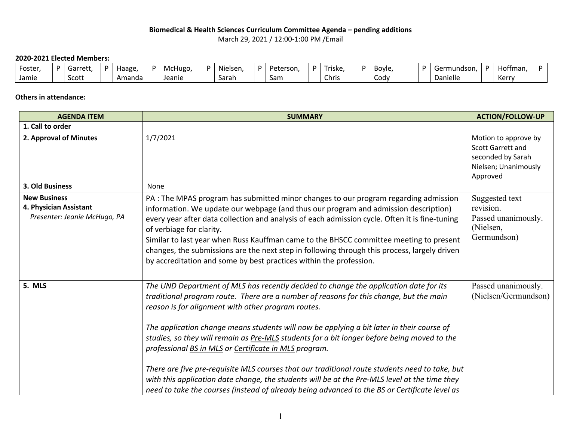## **Biomedical & Health Sciences Curriculum Committee Agenda – pending additions** March 29, 2021 / 12:00-1:00 PM /Email

## **2020-2021 Elected Members:**

| Foster, | D. | $\sim$<br>Garrett, | Haage  | McHugo, | $\ddot{\phantom{0}}$<br>Nielsen, | D. | Peterson | D | riske | Bovle. | Germundson. | $\sim$<br>Hoffman. |  |
|---------|----|--------------------|--------|---------|----------------------------------|----|----------|---|-------|--------|-------------|--------------------|--|
| Jamie   |    | Scott              | Amanda | Jeanie  | Sarah                            |    | Sam      |   | Chris | Cody   | Danielle    | Karry<br>ne.       |  |

## **Others in attendance:**

| <b>AGENDA ITEM</b>                                                            | <b>SUMMARY</b>                                                                                                                                                                                                                                                                                                                                                                                                                                                                                                                                                                                                                                                                                                                                                                                 | <b>ACTION/FOLLOW-UP</b>                                                                                   |
|-------------------------------------------------------------------------------|------------------------------------------------------------------------------------------------------------------------------------------------------------------------------------------------------------------------------------------------------------------------------------------------------------------------------------------------------------------------------------------------------------------------------------------------------------------------------------------------------------------------------------------------------------------------------------------------------------------------------------------------------------------------------------------------------------------------------------------------------------------------------------------------|-----------------------------------------------------------------------------------------------------------|
| 1. Call to order                                                              |                                                                                                                                                                                                                                                                                                                                                                                                                                                                                                                                                                                                                                                                                                                                                                                                |                                                                                                           |
| 2. Approval of Minutes                                                        | 1/7/2021                                                                                                                                                                                                                                                                                                                                                                                                                                                                                                                                                                                                                                                                                                                                                                                       | Motion to approve by<br><b>Scott Garrett and</b><br>seconded by Sarah<br>Nielsen; Unanimously<br>Approved |
| 3. Old Business                                                               | None                                                                                                                                                                                                                                                                                                                                                                                                                                                                                                                                                                                                                                                                                                                                                                                           |                                                                                                           |
| <b>New Business</b><br>4. Physician Assistant<br>Presenter: Jeanie McHugo, PA | PA: The MPAS program has submitted minor changes to our program regarding admission<br>information. We update our webpage (and thus our program and admission description)<br>every year after data collection and analysis of each admission cycle. Often it is fine-tuning<br>of verbiage for clarity.<br>Similar to last year when Russ Kauffman came to the BHSCC committee meeting to present<br>changes, the submissions are the next step in following through this process, largely driven<br>by accreditation and some by best practices within the profession.                                                                                                                                                                                                                       | Suggested text<br>revision.<br>Passed unanimously.<br>(Nielsen,<br>Germundson)                            |
| 5. MLS                                                                        | The UND Department of MLS has recently decided to change the application date for its<br>traditional program route. There are a number of reasons for this change, but the main<br>reason is for alignment with other program routes.<br>The application change means students will now be applying a bit later in their course of<br>studies, so they will remain as Pre-MLS students for a bit longer before being moved to the<br>professional BS in MLS or Certificate in MLS program.<br>There are five pre-requisite MLS courses that our traditional route students need to take, but<br>with this application date change, the students will be at the Pre-MLS level at the time they<br>need to take the courses (instead of already being advanced to the BS or Certificate level as | Passed unanimously.<br>(Nielsen/Germundson)                                                               |